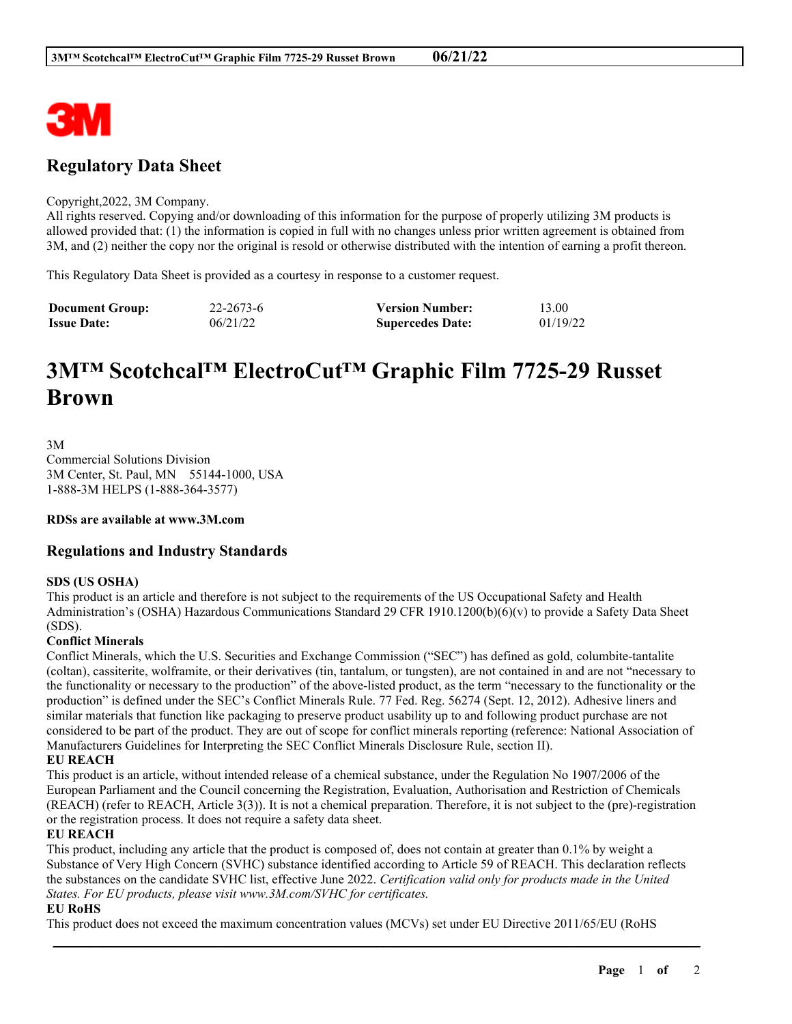

## **Regulatory Data Sheet**

#### Copyright,2022, 3M Company.

All rights reserved. Copying and/or downloading of this information for the purpose of properly utilizing 3M products is allowed provided that: (1) the information is copied in full with no changes unless prior written agreement is obtained from 3M, and (2) neither the copy nor the original is resold or otherwise distributed with the intention of earning a profit thereon.

This Regulatory Data Sheet is provided as a courtesy in response to a customer request.

| <b>Document Group:</b> | 22-2673-6 | <b>Version Number:</b>  | 13.00    |
|------------------------|-----------|-------------------------|----------|
| <b>Issue Date:</b>     | 06/21/22  | <b>Supercedes Date:</b> | 01/19/22 |

# **3M™ Scotchcal™ ElectroCut™ Graphic Film 7725-29 Russet Brown**

3M Commercial Solutions Division 3M Center, St. Paul, MN 55144-1000, USA 1-888-3M HELPS (1-888-364-3577)

**RDSs are available at www.3M.com**

### **Regulations and Industry Standards**

#### **SDS (US OSHA)**

This product is an article and therefore is not subject to the requirements of the US Occupational Safety and Health Administration's (OSHA) Hazardous Communications Standard 29 CFR 1910.1200(b)(6)(v) to provide a Safety Data Sheet (SDS).

#### **Conflict Minerals**

Conflict Minerals, which the U.S. Securities and Exchange Commission ("SEC") has defined as gold, columbite-tantalite (coltan), cassiterite, wolframite, or their derivatives (tin, tantalum, or tungsten), are not contained in and are not "necessary to the functionality or necessary to the production" of the above-listed product, as the term "necessary to the functionality or the production" is defined under the SEC's Conflict Minerals Rule. 77 Fed. Reg. 56274 (Sept. 12, 2012). Adhesive liners and similar materials that function like packaging to preserve product usability up to and following product purchase are not considered to be part of the product. They are out of scope for conflict minerals reporting (reference: National Association of Manufacturers Guidelines for Interpreting the SEC Conflict Minerals Disclosure Rule, section II).

#### **EU REACH**

This product is an article, without intended release of a chemical substance, under the Regulation No 1907/2006 of the European Parliament and the Council concerning the Registration, Evaluation, Authorisation and Restriction of Chemicals (REACH) (refer to REACH, Article 3(3)). It is not a chemical preparation. Therefore, it is not subject to the (pre)-registration or the registration process. It does not require a safety data sheet.

#### **EU REACH**

This product, including any article that the product is composed of, does not contain at greater than 0.1% by weight a Substance of Very High Concern (SVHC) substance identified according to Article 59 of REACH. This declaration reflects the substances on the candidate SVHC list, effective June 2022. *Certification valid only for products made in the United States. For EU products, please visit www.3M.com/SVHC for certificates.*

\_\_\_\_\_\_\_\_\_\_\_\_\_\_\_\_\_\_\_\_\_\_\_\_\_\_\_\_\_\_\_\_\_\_\_\_\_\_\_\_\_\_\_\_\_\_\_\_\_\_\_\_\_\_\_\_\_\_\_\_\_\_\_\_\_\_\_\_\_\_\_\_\_\_\_\_\_\_\_\_\_\_\_\_\_\_\_\_\_\_

#### **EU RoHS**

This product does not exceed the maximum concentration values (MCVs) set under EU Directive 2011/65/EU (RoHS